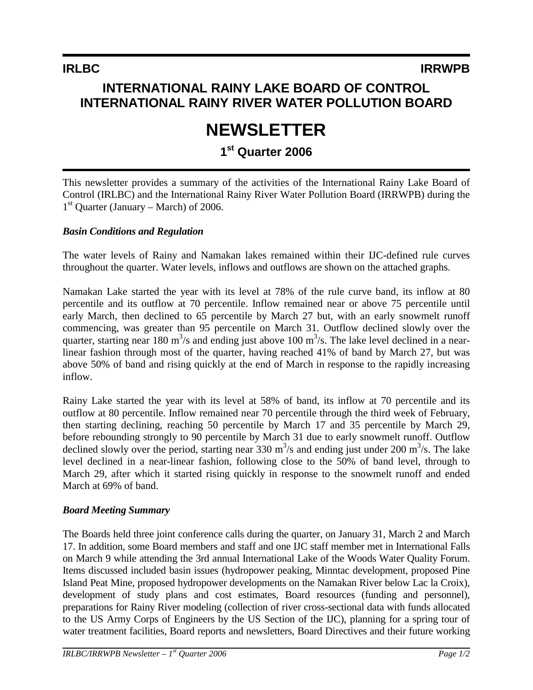## **INTERNATIONAL RAINY LAKE BOARD OF CONTROL INTERNATIONAL RAINY RIVER WATER POLLUTION BOARD**

# **NEWSLETTER**

## **1st Quarter 2006**

This newsletter provides a summary of the activities of the International Rainy Lake Board of Control (IRLBC) and the International Rainy River Water Pollution Board (IRRWPB) during the  $1<sup>st</sup>$  Quarter (January – March) of 2006.

#### *Basin Conditions and Regulation*

The water levels of Rainy and Namakan lakes remained within their IJC-defined rule curves throughout the quarter. Water levels, inflows and outflows are shown on the attached graphs.

Namakan Lake started the year with its level at 78% of the rule curve band, its inflow at 80 percentile and its outflow at 70 percentile. Inflow remained near or above 75 percentile until early March, then declined to 65 percentile by March 27 but, with an early snowmelt runoff commencing, was greater than 95 percentile on March 31. Outflow declined slowly over the quarter, starting near 180 m<sup>3</sup>/s and ending just above 100 m<sup>3</sup>/s. The lake level declined in a nearlinear fashion through most of the quarter, having reached 41% of band by March 27, but was above 50% of band and rising quickly at the end of March in response to the rapidly increasing inflow.

Rainy Lake started the year with its level at 58% of band, its inflow at 70 percentile and its outflow at 80 percentile. Inflow remained near 70 percentile through the third week of February, then starting declining, reaching 50 percentile by March 17 and 35 percentile by March 29, before rebounding strongly to 90 percentile by March 31 due to early snowmelt runoff. Outflow declined slowly over the period, starting near  $330 \text{ m}^3/\text{s}$  and ending just under  $200 \text{ m}^3/\text{s}$ . The lake level declined in a near-linear fashion, following close to the 50% of band level, through to March 29, after which it started rising quickly in response to the snowmelt runoff and ended March at 69% of band.

#### *Board Meeting Summary*

The Boards held three joint conference calls during the quarter, on January 31, March 2 and March 17. In addition, some Board members and staff and one IJC staff member met in International Falls on March 9 while attending the 3rd annual International Lake of the Woods Water Quality Forum. Items discussed included basin issues (hydropower peaking, Minntac development, proposed Pine Island Peat Mine, proposed hydropower developments on the Namakan River below Lac la Croix), development of study plans and cost estimates, Board resources (funding and personnel), preparations for Rainy River modeling (collection of river cross-sectional data with funds allocated to the US Army Corps of Engineers by the US Section of the IJC), planning for a spring tour of water treatment facilities, Board reports and newsletters, Board Directives and their future working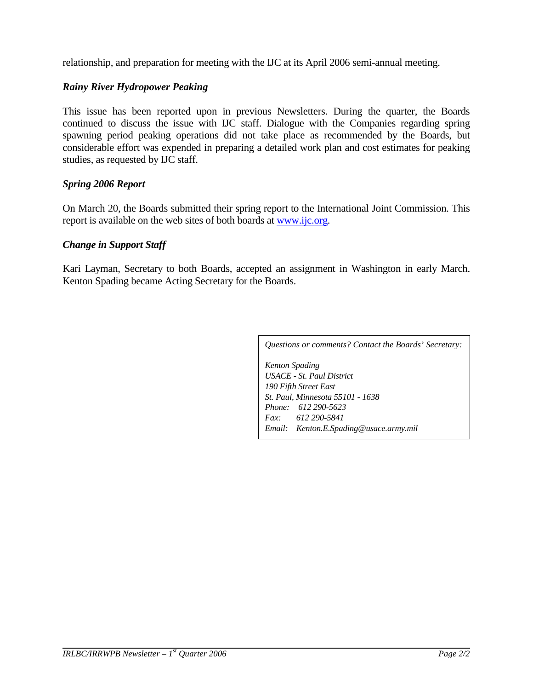relationship, and preparation for meeting with the IJC at its April 2006 semi-annual meeting.

#### *Rainy River Hydropower Peaking*

This issue has been reported upon in previous Newsletters. During the quarter, the Boards continued to discuss the issue with IJC staff. Dialogue with the Companies regarding spring spawning period peaking operations did not take place as recommended by the Boards, but considerable effort was expended in preparing a detailed work plan and cost estimates for peaking studies, as requested by IJC staff.

#### *Spring 2006 Report*

On March 20, the Boards submitted their spring report to the International Joint Commission. This report is available on the web sites of both boards at www.ijc.org.

#### *Change in Support Staff*

Kari Layman, Secretary to both Boards, accepted an assignment in Washington in early March. Kenton Spading became Acting Secretary for the Boards.

*Questions or comments? Contact the Boards' Secretary:*

*Kenton Spading USACE - St. Paul District 190 Fifth Street East St. Paul, Minnesota 55101 - 1638 Phone: 612 290-5623 Fax: 612 290-5841 Email: Kenton.E.Spading@usace.army.mil*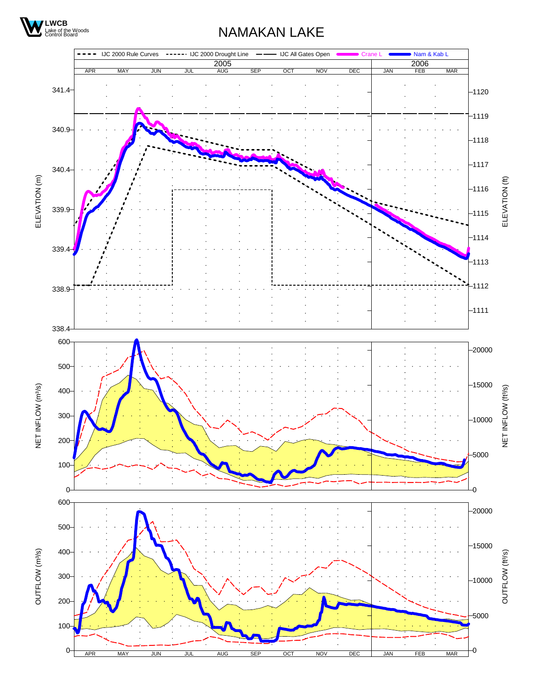

## NAMAKAN LAKE